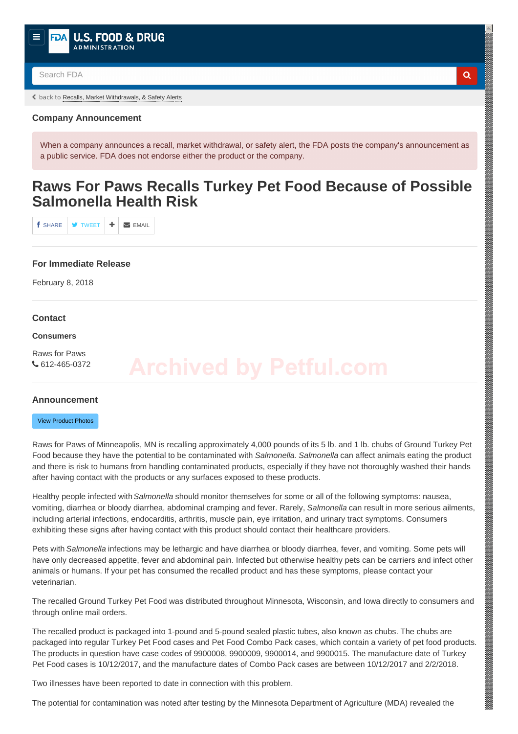<span id="page-0-0"></span>

Search FDA **Q** 

back to [Recalls, Market Withdrawals, & Safety Alerts](https://www.fda.gov/Safety/Recalls/default.htm)

## **Company Announcement**

When a company announces a recall, market withdrawal, or safety alert, the FDA posts the company's announcement as a public service. FDA does not endorse either the product or the company.

## **Raws For Paws Recalls Turkey Pet Food Because of Possible Salmonella Health Risk**

 $f$  share  $\rightarrow$  tweet  $\rightarrow$   $\rightarrow$  email

### **For Immediate Release**

February 8, 2018

#### **Contact**

#### **Consumers**

Raws for Paws 612-465-0372

#### **Announcement**

#### [View Product Photos](#page-1-0)

Raws for Paws of Minneapolis, MN is recalling approximately 4,000 pounds of its 5 lb. and 1 lb. chubs of Ground Turkey Pet Food because they have the potential to be contaminated with *Salmonella*. *Salmonella* can affect animals eating the product and there is risk to humans from handling contaminated products, especially if they have not thoroughly washed their hands after having contact with the products or any surfaces exposed to these products.

Healthy people infected with *Salmonella* should monitor themselves for some or all of the following symptoms: nausea, vomiting, diarrhea or bloody diarrhea, abdominal cramping and fever. Rarely, *Salmonella* can result in more serious ailments, including arterial infections, endocarditis, arthritis, muscle pain, eye irritation, and urinary tract symptoms. Consumers exhibiting these signs after having contact with this product should contact their healthcare providers.

Pets with *Salmonella* infections may be lethargic and have diarrhea or bloody diarrhea, fever, and vomiting. Some pets will have only decreased appetite, fever and abdominal pain. Infected but otherwise healthy pets can be carriers and infect other animals or humans. If your pet has consumed the recalled product and has these symptoms, please contact your veterinarian.

The recalled Ground Turkey Pet Food was distributed throughout Minnesota, Wisconsin, and Iowa directly to consumers and through online mail orders.

The recalled product is packaged into 1-pound and 5-pound sealed plastic tubes, also known as chubs. The chubs are packaged into regular Turkey Pet Food cases and Pet Food Combo Pack cases, which contain a variety of pet food products. The products in question have case codes of 9900008, 9900009, 9900014, and 9900015. The manufacture date of Turkey Pet Food cases is 10/12/2017, and the manufacture dates of Combo Pack cases are between 10/12/2017 and 2/2/2018.

Two illnesses have been reported to date in connection with this problem.

The potential for contamination was noted after testing by the Minnesota Department of Agriculture (MDA) revealed the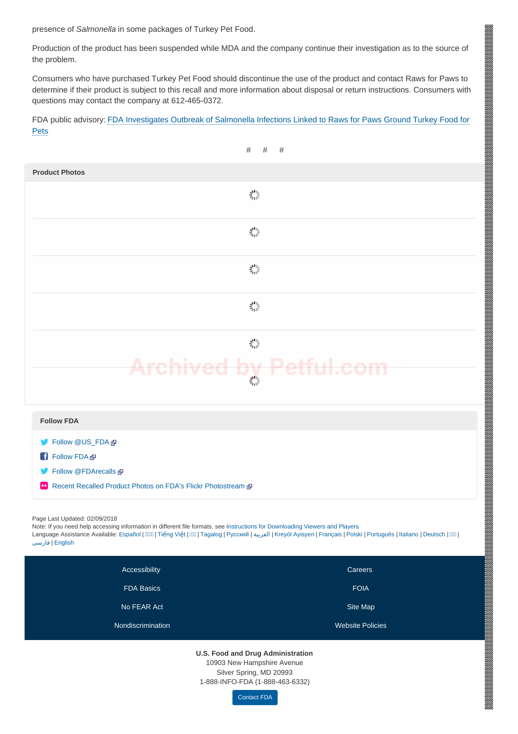presence of *Salmonella* in some packages of Turkey Pet Food.

Production of the product has been suspended while MDA and the company continue their investigation as to the source of the problem.

Consumers who have purchased Turkey Pet Food should discontinue the use of the product and contact Raws for Paws to determine if their product is subject to this recall and more information about disposal or return instructions. Consumers with questions may contact the company at 612-465-0372.

[FDA public advisory: FDA Investigates Outbreak of Salmonella Infections Linked to Raws for Paws Ground Turkey Food for](https://www.fda.gov/AnimalVeterinary/NewsEvents/ucm596071.htm) Pets

<span id="page-1-0"></span>

a de la construcción de la construcción de la construcción de la construcción de la construcción de la construcció

#### **U.S. Food and Drug Administration**

**[Nondiscrimination](https://www.fda.gov/AboutFDA/AboutThisWebsite/ucm523730.htm)** [Website Policies](https://www.fda.gov/AboutFDA/AboutThisWebsite/WebsitePolicies/default.htm)

10903 New Hampshire Avenue Silver Spring, MD 20993

1-888-INFO-FDA (1-888-463-6332)

[Contact FDA](https://www.fda.gov/AboutFDA/ContactFDA/default.htm)